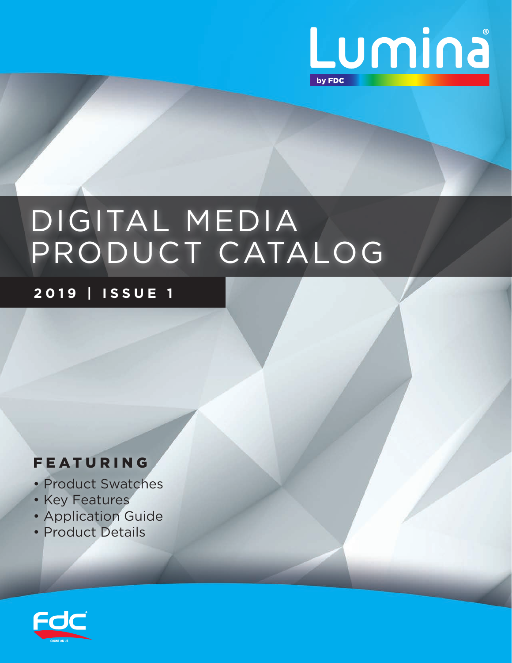

# DIGITAL MEDIA PRODUCT CATALOG

**2019 | ISSUE 1**

#### FEATURING

- Product Swatches
- Key Features
- Application Guide
- Product Details

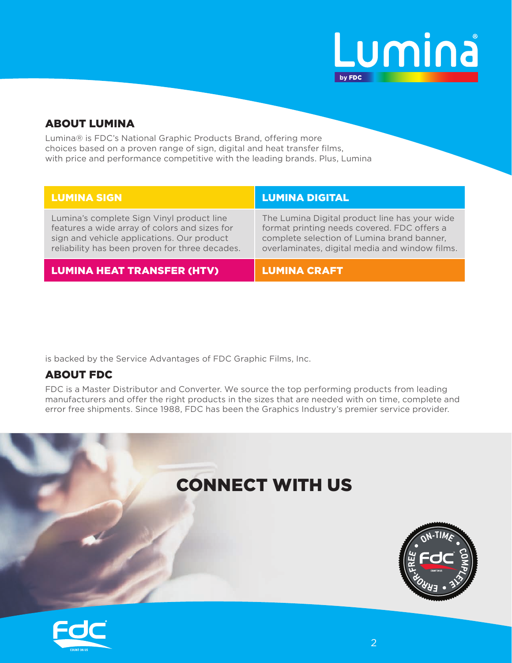

#### ABOUT LUMINA

Lumina® is FDC's National Graphic Products Brand, offering more choices based on a proven range of sign, digital and heat transfer films, with price and performance competitive with the leading brands. Plus, Lumina

| <b>LUMINA SIGN</b>                                                                                                                                                                         | <b>LUMINA DIGITAL</b>                                                                                                                                                                        |
|--------------------------------------------------------------------------------------------------------------------------------------------------------------------------------------------|----------------------------------------------------------------------------------------------------------------------------------------------------------------------------------------------|
| Lumina's complete Sign Vinyl product line<br>features a wide array of colors and sizes for<br>sign and vehicle applications. Our product<br>reliability has been proven for three decades. | The Lumina Digital product line has your wide<br>format printing needs covered. FDC offers a<br>complete selection of Lumina brand banner,<br>overlaminates, digital media and window films. |
| <b>LUMINA HEAT TRANSFER (HTV)</b>                                                                                                                                                          | <b>LUMINA CRAFT</b>                                                                                                                                                                          |

is backed by the Service Advantages of FDC Graphic Films, Inc.

#### ABOUT FDC

FDC is a Master Distributor and Converter. We source the top performing products from leading manufacturers and offer the right products in the sizes that are needed with on time, complete and error free shipments. Since 1988, FDC has been the Graphics Industry's premier service provider.



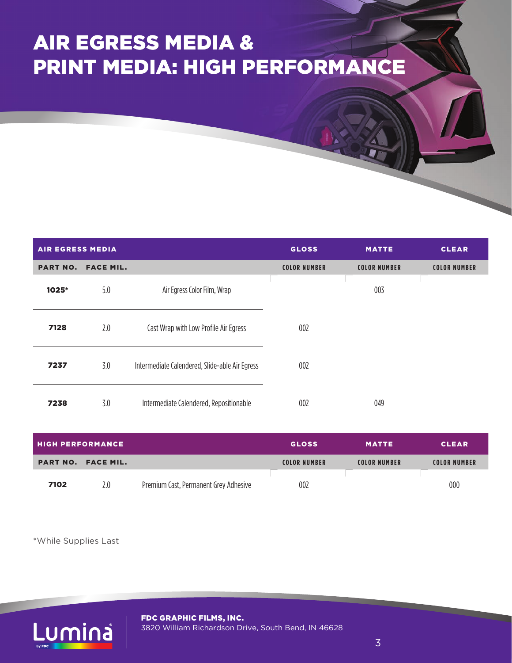# AIR EGRESS MEDIA & PRINT MEDIA: HIGH PERFORMANCE

| <b>AIR EGRESS MEDIA</b> |                  |                                                | <b>GLOSS</b>        | <b>MATTE</b>        | <b>CLEAR</b>        |
|-------------------------|------------------|------------------------------------------------|---------------------|---------------------|---------------------|
| <b>PART NO.</b>         | <b>FACE MIL.</b> |                                                | <b>COLOR NUMBER</b> | <b>COLOR NUMBER</b> | <b>COLOR NUMBER</b> |
| 1025*                   | 5.0              | Air Egress Color Film, Wrap                    |                     | 003                 |                     |
| 7128                    | 2.0              | Cast Wrap with Low Profile Air Egress          | 002                 |                     |                     |
| 7237                    | 3.0              | Intermediate Calendered, Slide-able Air Egress | 002                 |                     |                     |
| 7238                    | 3.0              | Intermediate Calendered, Repositionable        | 002                 | 049                 |                     |

| <b>HIGH PERFORMANCE</b> |                           |                                       | <b>GLOSS</b>        | <b>MATTE</b>        | <b>CLEAR</b>        |
|-------------------------|---------------------------|---------------------------------------|---------------------|---------------------|---------------------|
|                         | <b>PART NO. FACE MIL.</b> |                                       | <b>COLOR NUMBER</b> | <b>COLOR NUMBER</b> | <b>COLOR NUMBER</b> |
| 7102                    | 2.0                       | Premium Cast, Permanent Grey Adhesive | 002                 |                     | 000                 |

\*While Supplies Last

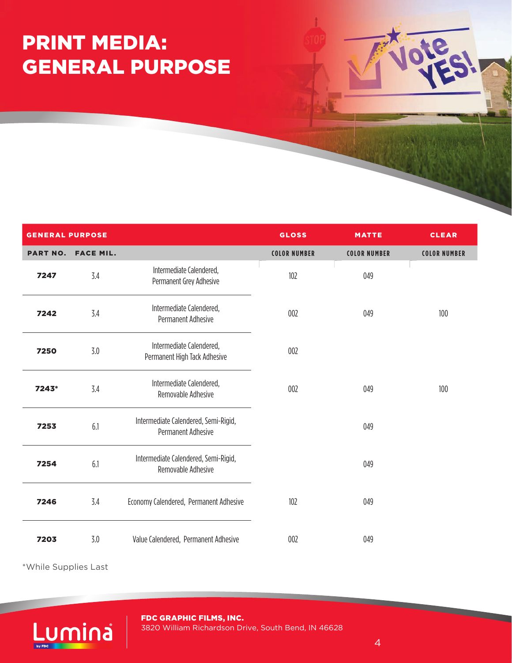### PRINT MEDIA: GENERAL PURPOSE

| <b>GENERAL PURPOSE</b> |                    |                                                                   | <b>GLOSS</b>        | <b>MATTE</b>        | <b>CLEAR</b>        |
|------------------------|--------------------|-------------------------------------------------------------------|---------------------|---------------------|---------------------|
|                        | PART NO. FACE MIL. |                                                                   | <b>COLOR NUMBER</b> | <b>COLOR NUMBER</b> | <b>COLOR NUMBER</b> |
| 7247                   | 3.4                | Intermediate Calendered,<br>Permanent Grey Adhesive               | 102                 | 049                 |                     |
| 7242                   | 3.4                | Intermediate Calendered,<br>Permanent Adhesive                    | 002                 | 049                 | 100                 |
| 7250                   | 3.0                | Intermediate Calendered,<br>Permanent High Tack Adhesive          | 002                 |                     |                     |
| 7243*                  | 3.4                | Intermediate Calendered,<br>Removable Adhesive                    | 002                 | 049                 | 100                 |
| 7253                   | 6.1                | Intermediate Calendered, Semi-Rigid,<br><b>Permanent Adhesive</b> |                     | 049                 |                     |
| 7254                   | 6.1                | Intermediate Calendered, Semi-Rigid,<br>Removable Adhesive        |                     | 049                 |                     |
| 7246                   | 3.4                | Economy Calendered, Permanent Adhesive                            | 102                 | 049                 |                     |
| 7203                   | 3.0                | Value Calendered, Permanent Adhesive                              | 002                 | 049                 |                     |

\*While Supplies Last

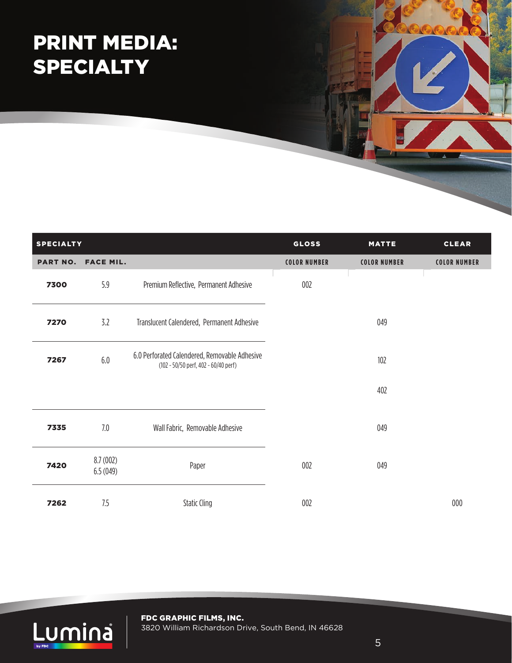## PRINT MEDIA: SPECIALTY

| <b>SPECIALTY</b> |                      |                                                                                       | <b>GLOSS</b>        | <b>MATTE</b>        | <b>CLEAR</b>        |
|------------------|----------------------|---------------------------------------------------------------------------------------|---------------------|---------------------|---------------------|
| <b>PART NO.</b>  | <b>FACE MIL.</b>     |                                                                                       | <b>COLOR NUMBER</b> | <b>COLOR NUMBER</b> | <b>COLOR NUMBER</b> |
| 7300             | 5.9                  | Premium Reflective, Permanent Adhesive                                                | 002                 |                     |                     |
| 7270             | 3.2                  | Translucent Calendered, Permanent Adhesive                                            |                     | 049                 |                     |
| 7267             | 6.0                  | 6.0 Perforated Calendered, Removable Adhesive<br>(102 - 50/50 perf, 402 - 60/40 perf) |                     | 102                 |                     |
|                  |                      |                                                                                       |                     | 402                 |                     |
| 7335             | 7.0                  | Wall Fabric, Removable Adhesive                                                       |                     | 049                 |                     |
| 7420             | 8.7(002)<br>6.5(049) | Paper                                                                                 | 002                 | 049                 |                     |
| 7262             | 7.5                  | <b>Static Cling</b>                                                                   | 002                 |                     | 000                 |

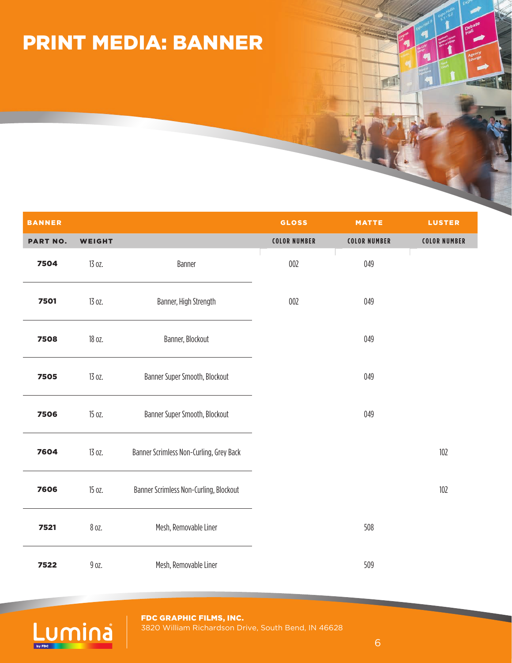### PRINT MEDIA: BANNER

| <b>BANNER</b>   |               |                                         | <b>GLOSS</b>        | <b>MATTE</b>        | <b>LUSTER</b>       |
|-----------------|---------------|-----------------------------------------|---------------------|---------------------|---------------------|
| <b>PART NO.</b> | <b>WEIGHT</b> |                                         | <b>COLOR NUMBER</b> | <b>COLOR NUMBER</b> | <b>COLOR NUMBER</b> |
| 7504            | 13 oz.        | Banner                                  | 002                 | 049                 |                     |
| 7501            | 13 oz.        | Banner, High Strength                   | 002                 | 049                 |                     |
| 7508            | 18 oz.        | Banner, Blockout                        |                     | 049                 |                     |
| 7505            | 13 oz.        | Banner Super Smooth, Blockout           | 049                 |                     |                     |
| 7506            | 15 oz.        | Banner Super Smooth, Blockout           |                     | 049                 |                     |
| 7604            | 13 oz.        | Banner Scrimless Non-Curling, Grey Back |                     |                     | 102                 |
| 7606            | 15 oz.        | Banner Scrimless Non-Curling, Blockout  |                     |                     | 102                 |
| 7521            | 8 oz.         | Mesh, Removable Liner                   |                     | 508                 |                     |
| 7522            | 9 oz.         | Mesh, Removable Liner                   |                     | 509                 |                     |



FDC GRAPHIC FILMS, INC. 3820 William Richardson Drive, South Bend, IN 46628 FI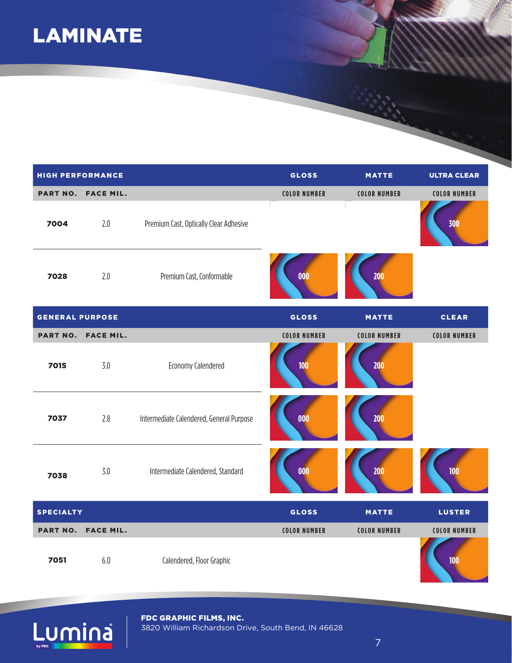#### LAMINATE

| <b>HIGH PERFORMANCE</b> |                  |                                          | <b>GLOSS</b>        | <b>MATTE</b>        | <b>ULTRA CLEAR</b>  |
|-------------------------|------------------|------------------------------------------|---------------------|---------------------|---------------------|
| <b>PART NO.</b>         | <b>FACE MIL.</b> |                                          | <b>COLOR NUMBER</b> | <b>COLOR NUMBER</b> | <b>COLOR NUMBER</b> |
| 7004                    | 2.0              | Premium Cast, Optically Clear Adhesive   |                     |                     | 300                 |
| 7028                    | 2.0              | Premium Cast, Conformable                | 000                 | 200                 |                     |
| <b>GENERAL PURPOSE</b>  |                  |                                          | <b>GLOSS</b>        | <b>MATTE</b>        | <b>CLEAR</b>        |
| <b>PART NO.</b>         | <b>FACE MIL.</b> |                                          | <b>COLOR NUMBER</b> | <b>COLOR NUMBER</b> | <b>COLOR NUMBER</b> |
| 7015                    | 3.0              | Economy Calendered                       | 100                 | 200                 |                     |
| 7037                    | 2.8              | Intermediate Calendered, General Purpose | 000                 | 200                 |                     |
| 7038                    | 3.0              | Intermediate Calendered, Standard        | 000                 | 200                 | 100                 |
| <b>SPECIALTY</b>        |                  |                                          | <b>GLOSS</b>        | <b>MATTE</b>        | <b>LUSTER</b>       |
| <b>PART NO.</b>         | <b>FACE MIL.</b> |                                          | <b>COLOR NUMBER</b> | <b>COLOR NUMBER</b> | <b>COLOR NUMBER</b> |
| 7051                    | 6.0              | Calendered, Floor Graphic                |                     |                     | 100                 |